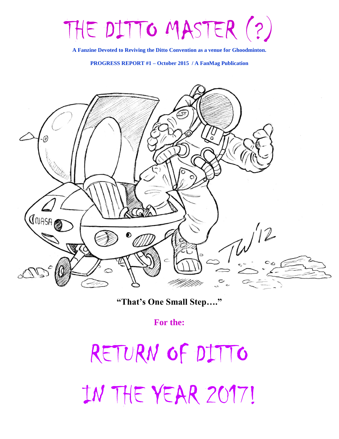# THE DITTO MASTER (?)

**A Fanzine Devoted to Reviving the Ditto Convention as a venue for Ghoodminton.**

**PROGRESS REPORT #1 – October 2015 / A FanMag Publication**



**"That's One Small Step…."**

**For the:**

RETURN OF DITTO IN THE YEAR 2017!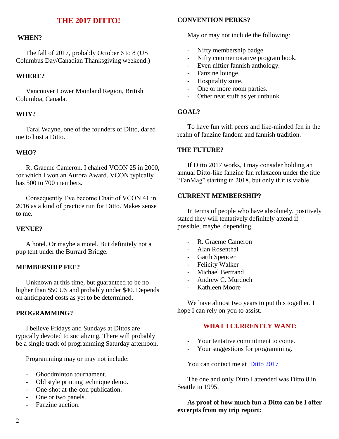## **THE 2017 DITTO!**

### **WHEN?**

 The fall of 2017, probably October 6 to 8 (US Columbus Day/Canadian Thanksgiving weekend.)

#### **WHERE?**

 Vancouver Lower Mainland Region, British Columbia, Canada.

#### **WHY?**

 Taral Wayne, one of the founders of Ditto, dared me to host a Ditto.

## **WHO?**

 R. Graeme Cameron. I chaired VCON 25 in 2000, for which I won an Aurora Award. VCON typically has 500 to 700 members.

 Consequently I've become Chair of VCON 41 in 2016 as a kind of practice run for Ditto. Makes sense to me.

#### **VENUE?**

 A hotel. Or maybe a motel. But definitely not a pup tent under the Burrard Bridge.

## **MEMBERSHIP FEE?**

 Unknown at this time, but guaranteed to be no higher than \$50 US and probably under \$40. Depends on anticipated costs as yet to be determined.

## **PROGRAMMING?**

 I believe Fridays and Sundays at Dittos are typically devoted to socializing. There will probably be a single track of programming Saturday afternoon.

Programming may or may not include:

- Ghoodminton tournament.
- Old style printing technique demo.
- One-shot at-the-con publication.
- One or two panels.
- Fanzine auction.

## **CONVENTION PERKS?**

May or may not include the following:

- Nifty membership badge.
- Nifty commemorative program book.
- Even niftier fannish anthology.
- Fanzine lounge.
- Hospitality suite.
- One or more room parties.
- Other neat stuff as yet unthunk.

#### **GOAL?**

 To have fun with peers and like-minded fen in the realm of fanzine fandom and fannish tradition.

#### **THE FUTURE?**

 If Ditto 2017 works, I may consider holding an annual Ditto-like fanzine fan relaxacon under the title "FanMag" starting in 2018, but only if it is viable.

## **CURRENT MEMBERSHIP?**

 In terms of people who have absolutely, positively stated they will tentatively definitely attend if possible, maybe, depending.

- R. Graeme Cameron
- Alan Rosenthal
- Garth Spencer
- Felicity Walker
- Michael Bertrand
- Andrew C. Murdoch
- Kathleen Moore

 We have almost two years to put this together. I hope I can rely on you to assist.

#### **WHAT I CURRENTLY WANT:**

- Your tentative commitment to come.<br>- Your suggestions for programming
- Your suggestions for programming.

You can contact me at [Ditto 2017](mailto:rgraeme@shaw.ca)

 The one and only Ditto I attended was Ditto 8 in Seattle in 1995.

 **As proof of how much fun a Ditto can be I offer excerpts from my trip report:**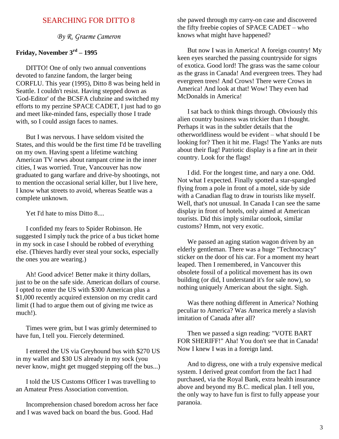## SEARCHING FOR DITTO 8

*By R. Graeme Cameron*

## **Friday, November 3rd – 1995**

 DITTO! One of only two annual conventions devoted to fanzine fandom, the larger being CORFLU. This year (1995), Ditto 8 was being held in Seattle. I couldn't resist. Having stepped down as 'God-Editor' of the BCSFA clubzine and switched my efforts to my perzine SPACE CADET, I just had to go and meet like-minded fans, especially those I trade with, so I could assign faces to names.

 But I was nervous. I have seldom visited the States, and this would be the first time I'd be travelling on my own. Having spent a lifetime watching American TV news about rampant crime in the inner cities, I was worried. True, Vancouver has now graduated to gang warfare and drive-by shootings, not to mention the occasional serial killer, but I live here, I know what streets to avoid, whereas Seattle was a complete unknown.

Yet I'd hate to miss Ditto 8....

 I confided my fears to Spider Robinson. He suggested I simply tuck the price of a bus ticket home in my sock in case I should be robbed of everything else. (Thieves hardly ever steal your socks, especially the ones you are wearing.)

 Ah! Good advice! Better make it thirty dollars, just to be on the safe side. American dollars of course. I opted to enter the US with \$300 American plus a \$1,000 recently acquired extension on my credit card limit (I had to argue them out of giving me twice as much!).

 Times were grim, but I was grimly determined to have fun, I tell you. Fiercely determined.

 I entered the US via Greyhound bus with \$270 US in my wallet and \$30 US already in my sock (you never know, might get mugged stepping off the bus...)

 I told the US Customs Officer I was travelling to an Amateur Press Association convention.

 Incomprehension chased boredom across her face and I was waved back on board the bus. Good. Had

she pawed through my carry-on case and discovered the fifty freebie copies of SPACE CADET – who knows what might have happened?

 But now I was in America! A foreign country! My keen eyes searched the passing countryside for signs of exotica. Good lord! The grass was the same colour as the grass in Canada! And evergreen trees. They had evergreen trees! And Crows! There were Crows in America! And look at that! Wow! They even had McDonalds in America!

 I sat back to think things through. Obviously this alien country business was trickier than I thought. Perhaps it was in the subtler details that the otherworldliness would be evident – what should I be looking for? Then it hit me. Flags! The Yanks are nuts about their flag! Patriotic display is a fine art in their country. Look for the flags!

 I did. For the longest time, and nary a one. Odd. Not what I expected. Finally spotted a star-spangled flying from a pole in front of a motel, side by side with a Canadian flag to draw in tourists like myself. Well, that's not unusual. In Canada I can see the same display in front of hotels, only aimed at American tourists. Did this imply similar outlook, similar customs? Hmm, not very exotic.

 We passed an aging station wagon driven by an elderly gentleman. There was a huge "Technocracy" sticker on the door of his car. For a moment my heart leaped. Then I remembered, in Vancouver this obsolete fossil of a political movement has its own building (or did, I understand it's for sale now), so nothing uniquely American about the sight. Sigh.

 Was there nothing different in America? Nothing peculiar to America? Was America merely a slavish imitation of Canada after all?

 Then we passed a sign reading: "VOTE BART FOR SHERIFF!" Aha! You don't see that in Canada! Now I knew I was in a foreign land.

 And to digress, one with a truly expensive medical system. I derived great comfort from the fact I had purchased, via the Royal Bank, extra health insurance above and beyond my B.C. medical plan. I tell you, the only way to have fun is first to fully appease your paranoia.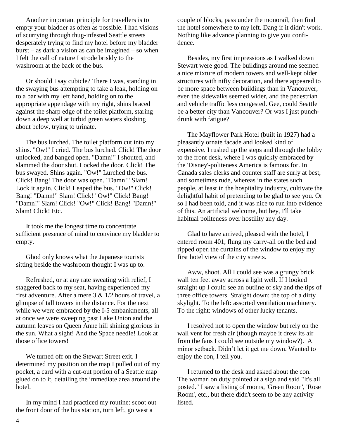Another important principle for travellers is to empty your bladder as often as possible. I had visions of scurrying through thug-infested Seattle streets desperately trying to find my hotel before my bladder burst – as dark a vision as can be imagined – so when I felt the call of nature I strode briskly to the washroom at the back of the bus.

 Or should I say cubicle? There I was, standing in the swaying bus attempting to take a leak, holding on to a bar with my left hand, holding on to the appropriate appendage with my right, shins braced against the sharp edge of the toilet platform, staring down a deep well at turbid green waters sloshing about below, trying to urinate.

 The bus lurched. The toilet platform cut into my shins. "Ow!" I cried. The bus lurched. Click! The door unlocked, and banged open. "Damn!" I shouted, and slammed the door shut. Locked the door. Click! The bus swayed. Shins again. "Ow!" Lurched the bus. Click! Bang! The door was open. "Damn!" Slam! Lock it again. Click! Leaped the bus. "Ow!" Click! Bang! "Damn!" Slam! Click! "Ow!" Click! Bang! "Damn!" Slam! Click! "Ow!" Click! Bang! "Damn!" Slam! Click! Etc.

 It took me the longest time to concentrate sufficient presence of mind to convince my bladder to empty.

 Ghod only knows what the Japanese tourists sitting beside the washroom thought I was up to.

 Refreshed, or at any rate sweating with relief, I staggered back to my seat, having experienced my first adventure. After a mere  $3 \& 1/2$  hours of travel, a glimpse of tall towers in the distance. For the next while we were embraced by the I-5 embankments, all at once we were sweeping past Lake Union and the autumn leaves on Queen Anne hill shining glorious in the sun. What a sight! And the Space needle! Look at those office towers!

 We turned off on the Stewart Street exit. I determined my position on the map I pulled out of my pocket, a card with a cut-out portion of a Seattle map glued on to it, detailing the immediate area around the hotel.

 In my mind I had practiced my routine: scoot out the front door of the bus station, turn left, go west a

couple of blocks, pass under the monorail, then find the hotel somewhere to my left. Dang if it didn't work. Nothing like advance planning to give you confidence.

 Besides, my first impressions as I walked down Stewart were good. The buildings around me seemed a nice mixture of modern towers and well-kept older structures with nifty decoration, and there appeared to be more space between buildings than in Vancouver, even the sidewalks seemed wider, and the pedestrian and vehicle traffic less congested. Gee, could Seattle be a better city than Vancouver? Or was I just punchdrunk with fatigue?

 The Mayflower Park Hotel (built in 1927) had a pleasantly ornate facade and looked kind of expensive. I rushed up the steps and through the lobby to the front desk, where I was quickly embraced by the 'Disney'-politeness America is famous for. In Canada sales clerks and counter staff are surly at best, and sometimes rude, whereas in the states such people, at least in the hospitality industry, cultivate the delightful habit of pretending to be glad to see you. Or so I had been told, and it was nice to run into evidence of this. An artificial welcome, but hey, I'll take habitual politeness over hostility any day.

 Glad to have arrived, pleased with the hotel, I entered room 401, flung my carry-all on the bed and ripped open the curtains of the window to enjoy my first hotel view of the city streets.

 Aww, shoot. All I could see was a grungy brick wall ten feet away across a light well. If I looked straight up I could see an outline of sky and the tips of three office towers. Straight down: the top of a dirty skylight. To the left: assorted ventilation machinery. To the right: windows of other lucky tenants.

 I resolved not to open the window but rely on the wall vent for fresh air (though maybe it drew its air from the fans I could see outside my window?). A minor setback. Didn't let it get me down. Wanted to enjoy the con, I tell you.

 I returned to the desk and asked about the con. The woman on duty pointed at a sign and said "It's all posted." I saw a listing of rooms, 'Green Room', 'Rose Room', etc., but there didn't seem to be any activity listed.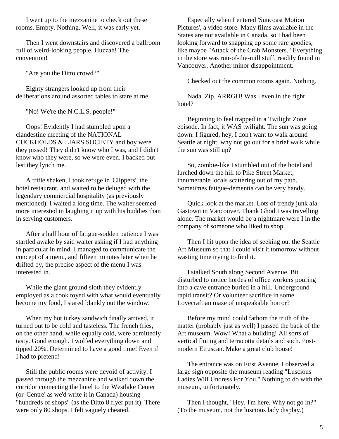I went up to the mezzanine to check out these rooms. Empty. Nothing. Well, it was early yet.

 Then I went downstairs and discovered a ballroom full of weird-looking people. Huzzah! The convention!

"Are you the Ditto crowd?"

 Eighty strangers looked up from their deliberations around assorted tables to stare at me.

"No! We're the N.C.L.S. people!"

 Oops! Evidently I had stumbled upon a clandestine meeting of the NATIONAL CUCKHOLDS & LIARS SOCIETY and boy were they pissed! They didn't know who I was, and I didn't know who they were, so we were even. I backed out lest they lynch me.

 A trifle shaken, I took refuge in 'Clippers', the hotel restaurant, and waited to be deluged with the legendary commercial hospitality (as previously mentioned). I waited a long time. The waiter seemed more interested in laughing it up with his buddies than in serving customers.

 After a half hour of fatigue-sodden patience I was startled awake by said waiter asking if I had anything in particular in mind. I managed to communicate the concept of a menu, and fifteen minutes later when he drifted by, the precise aspect of the menu I was interested in.

 While the giant ground sloth they evidently employed as a cook toyed with what would eventually become my food, I stared blankly out the window.

 When my hot turkey sandwich finally arrived, it turned out to be cold and tasteless. The french fries, on the other hand, while equally cold, were admittedly tasty. Good enough. I wolfed everything down and tipped 20%. Determined to have a good time! Even if I had to pretend!

 Still the public rooms were devoid of activity. I passed through the mezzanine and walked down the corridor connecting the hotel to the Westlake Center (or 'Centre' as we'd write it in Canada) housing "hundreds of shops" (as the Ditto 8 flyer put it). There were only 80 shops. I felt vaguely cheated.

 Especially when I entered 'Suncoast Motion Pictures', a video store. Many films available in the States are not available in Canada, so I had been looking forward to snapping up some rare goodies, like maybe "Attack of the Crab Monsters." Everything in the store was run-of-the-mill stuff, readily found in Vancouver. Another minor disappointment.

Checked out the common rooms again. Nothing.

 Nada. Zip. ARRGH! Was I even in the right hotel?

 Beginning to feel trapped in a Twilight Zone episode. In fact, it WAS twilight. The sun was going down. I figured, hey, I don't want to walk around Seattle at night, why not go out for a brief walk while the sun was still up?

 So, zombie-like I stumbled out of the hotel and lurched down the hill to Pike Street Market, innumerable locals scattering out of my path. Sometimes fatigue-dementia can be very handy.

 Quick look at the market. Lots of trendy junk ala Gastown in Vancouver. Thank Ghod I was travelling alone. The market would be a nightmare were I in the company of someone who liked to shop.

 Then I hit upon the idea of seeking out the Seattle Art Museum so that I could visit it tomorrow without wasting time trying to find it.

 I stalked South along Second Avenue. Bit disturbed to notice hordes of office workers pouring into a cave entrance buried in a hill. Underground rapid transit? Or volunteer sacrifice in some Lovecraftian maze of unspeakable horror?

 Before my mind could fathom the truth of the matter (probably just as well) I passed the back of the Art museum. Wow! What a building! All sorts of vertical fluting and terracotta details and such. Postmodern Etruscan. Make a great club house!

 The entrance was on First Avenue. I observed a large sign opposite the museum reading "Luscious Ladies Will Undress For You." Nothing to do with the museum, unfortunately.

 Then I thought, "Hey, I'm here. Why not go in?" (To the museum, not the luscious lady display.)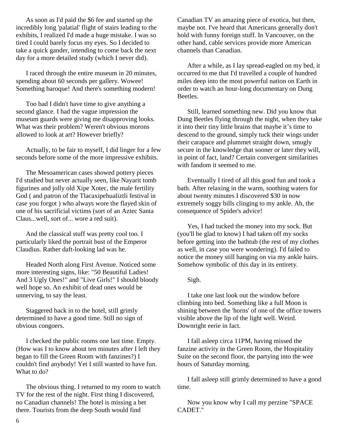As soon as I'd paid the \$6 fee and started up the incredibly long 'palatial' flight of stairs leading to the exhibits, I realized I'd made a huge mistake. I was so tired I could barely focus my eyes. So I decided to take a quick gander, intending to come back the next day for a more detailed study (which I never did).

 I raced through the entire museum in 20 minutes, spending about 60 seconds per gallery. Wowee! Something baroque! And there's something modern!

 Too bad I didn't have time to give anything a second glance. I had the vague impression the museum guards were giving me disapproving looks. What was their problem? Weren't obvious morons allowed to look at art? However briefly?

 Actually, to be fair to myself, I did linger for a few seconds before some of the more impressive exhibits.

 The Mesoamerican cases showed pottery pieces I'd studied but never actually seen, like Nayarit tomb figurines and jolly old Xipe Xotec, the male fertility God ( and patron of the Tlacaxipehualiztli festival in case you forgot ) who always wore the flayed skin of one of his sacrificial victims (sort of an Aztec Santa Claus...well, sort of... wore a red suit).

 And the classical stuff was pretty cool too. I particularly liked the portrait bust of the Emperor Claudius. Rather daft-looking lad was he.

 Headed North along First Avenue. Noticed some more interesting signs, like: "50 Beautiful Ladies! And 3 Ugly Ones!" and "Live Girls!" I should bloody well hope so. An exhibit of dead ones would be unnerving, to say the least.

 Staggered back in to the hotel, still grimly determined to have a good time. Still no sign of obvious congoers.

 I checked the public rooms one last time. Empty. (How was I to know about ten minutes after I left they began to fill the Green Room with fanzines?) I couldn't find anybody! Yet I still wanted to have fun. What to do?

 The obvious thing. I returned to my room to watch TV for the rest of the night. First thing I discovered, no Canadian channels! The hotel is missing a bet there. Tourists from the deep South would find

Canadian TV an amazing piece of exotica, but then, maybe not. I've heard that Americans generally don't hold with funny foreign stuff. In Vancouver, on the other hand, cable services provide more American channels than Canadian.

 After a while, as I lay spread-eagled on my bed, it occurred to me that I'd travelled a couple of hundred miles deep into the most powerful nation on Earth in order to watch an hour-long documentary on Dung Beetles.

 Still, learned something new. Did you know that Dung Beetles flying through the night, when they take it into their tiny little brains that maybe it's time to descend to the ground, simply tuck their wings under their carapace and plummet straight down, smugly secure in the knowledge that sooner or later they will, in point of fact, land? Certain convergent similarities with fandom it seemed to me.

 Eventually I tired of all this good fun and took a bath. After relaxing in the warm, soothing waters for about twenty minutes I discovered \$30 in now extremely soggy bills clinging to my ankle. Ah, the consequence of Spider's advice!

 Yes, I had tucked the money into my sock. But (you'll be glad to know) I had taken off my socks before getting into the bathtub (the rest of my clothes as well, in case you were wondering). I'd failed to notice the money still hanging on via my ankle hairs. Somehow symbolic of this day in its entirety.

Sigh.

 I take one last look out the window before climbing into bed. Something like a full Moon is shining between the 'horns' of one of the office towers visible above the lip of the light well. Weird. Downright eerie in fact.

 I fall asleep circa 11PM, having missed the fanzine activity in the Green Room, the Hospitality Suite on the second floor, the partying into the wee hours of Saturday morning.

 I fall asleep still grimly determined to have a good time.

 Now you know why I call my perzine "SPACE CADET."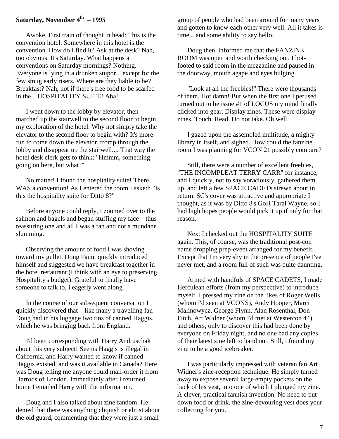## **Saturday, November 4th – 1995**

 Awoke. First train of thought in head: This is the convention hotel. Somewhere in this hotel is the convention. How do I find it? Ask at the desk? Nah, too obvious. It's Saturday. What happens at conventions on Saturday mornings? Nothing. Everyone is lying in a drunken stupor... except for the few smug early risers. Where are they liable to be? Breakfast? Nah, not if there's free food to be scarfed in the... HOSPITALITY SUITE! Aha!

 I went down to the lobby by elevator, then marched up the stairwell to the second floor to begin my exploration of the hotel. Why not simply take the elevator to the second floor to begin with? It's more fun to come down the elevator, tromp through the lobby and disappear up the stairwell.... That way the hotel desk clerk gets to think: "Hmmm, something going on here, but what?"

 No matter! I found the hospitality suite! There WAS a convention! As I entered the room I asked: "Is this the hospitality suite for Ditto 8?"

 Before anyone could reply, I zoomed over to the salmon and bagels and began stuffing my face – thus reassuring one and all I was a fan and not a mundane slumming.

 Observing the amount of food I was shoving toward my gullet, Doug Faunt quickly introduced himself and suggested we have breakfast together in the hotel restaurant (I think with an eye to preserving Hospitality's budget). Grateful to finally have someone to talk to, I eagerly went along.

 In the course of our subsequent conversation I quickly discovered that – like many a travelling fan – Doug had in his luggage two tins of canned Haggis. which he was bringing back from England.

 I'd been corresponding with Harry Andruschak about this very subject! Seems Haggis is illegal in California, and Harry wanted to know if canned Haggis existed, and was it available in Canada? Here was Doug telling me anyone could mail-order it from Harrods of London. Immediately after I returned home I emailed Harry with the information.

 Doug and I also talked about zine fandom. He denied that there was anything cliquish or elitist about the old guard, commenting that they were just a small

group of people who had been around for many years and gotten to know each other very well. All it takes is time... and some ability to say hello.

 Doug then informed me that the FANZINE ROOM was open and worth checking out. I hotfooted to said room in the mezzanine and paused in the doorway, mouth agape and eyes bulging.

 "Look at all the freebies!" There were thousands of them. Hot damn! But when the first one I perused turned out to be issue #1 of LOCUS my mind finally clicked into gear. Display zines. These were display zines. Touch. Read. Do not take. Oh well.

 I gazed upon the assembled multitude, a mighty library in itself, and sighed. How could the fanzine room I was planning for VCON 21 possibly compare?

 Still, there were a number of excellent freebies, "THE INCOMPLEAT TERRY CARR" for instance, and I quickly, not to say voraciously, gathered them up, and left a few SPACE CADETs strewn about in return. SC's cover was attractive and appropriate I thought, as it was by Ditto 8's GoH Taral Wayne, so I had high hopes people would pick it up if only for that reason.

 Next I checked out the HOSPITALITY SUITE again. This, of course, was the traditional post-con name dropping prep-event arranged for my benefit. Except that I'm very shy in the presence of people I've never met, and a room full of such was quite daunting.

 Armed with handfuls of SPACE CADETS, I made Herculean efforts (from my perspective) to introduce myself. I pressed my zine on the likes of Roger Wells (whom I'd seen at VCONS), Andy Hooper, Marci Malinowycz, George Flynn, Alan Rosenthal, Don Fitch, Art Widner (whom I'd met at Westercon 44) and others, only to discover this had been done by everyone on Friday night, and no one had any copies of their latest zine left to hand out. Still, I found my zine to be a good icebreaker.

 I was particularly impressed with veteran fan Art Widner's zine-reception technique. He simply turned away to expose several large empty pockets on the back of his vest, into one of which I plunged my zine. A clever, practical fannish invention. No need to put down food or drink, the zine-devouring vest does your collecting for you.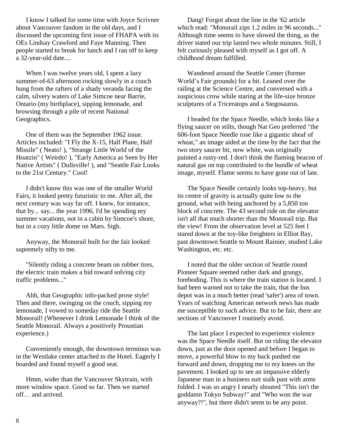I know I talked for some time with Joyce Scrivner about Vancouver fandom in the old days, and I discussed the upcoming first issue of FHAPA with its OEs Lindsay Crawford and Faye Manning. Then people started to break for lunch and I ran off to keep a 32-year-old date....

When I was twelve years old, I spent a lazy summer-of-63 afternoon rocking slowly in a couch hung from the rafters of a shady veranda facing the calm, silvery waters of Lake Simcoe near Barrie, Ontario (my birthplace), sipping lemonade, and browsing through a pile of recent National Geographics.

 One of them was the September 1962 issue. Articles included: "I Fly the X-15, Half Plane, Half Missile" ( Neato! ), "Strange Little World of the Hoatzin" ( Weirdo! ), "Early America as Seen by Her Native Artists" ( Dullsville! ), and "Seattle Fair Looks to the 21st Century." Cool!

 I didn't know this was one of the smaller World Fairs, it looked pretty futuristic to me. After all, the next century was way far off. I knew, for instance, that by... say... the year 1996, I'd be spending my summer vacations, not in a cabin by Simcoe's shore, but in a cozy little dome on Mars. Sigh.

 Anyway, the Monorail built for the fair looked supremely nifty to me.

 "Silently riding a concrete beam on rubber tires, the electric train makes a bid toward solving city traffic problems..."

 Ahh, that Geographic info-packed prose style! Then and there, swinging on the couch, sipping my lemonade, I vowed to someday ride the Seattle Monorail! (Whenever I drink Lemonade I think of the Seattle Monorail. Always a positively Proustian experience.)

 Conveniently enough, the downtown terminus was in the Westlake center attached to the Hotel. Eagerly I boarded and found myself a good seat.

 Hmm, wider than the Vancouver Skytrain, with more window space. Good so far. Then we started off… and arrived.

 Dang! Forgot about the line in the '62 article which read: "Monorail zips 1.2 miles in 96 seconds..." Although time seems to have slowed the thing, as the driver stated our trip lasted two whole minutes. Still, I felt curiously pleased with myself as I got off. A childhood dream fulfilled.

 Wandered around the Seattle Center (former World's Fair grounds) for a bit. Leaned over the railing at the Science Centre, and conversed with a suspicious crow while staring at the life-size bronze sculptures of a Triceratops and a Stegosaurus.

 I headed for the Space Needle, which looks like a flying saucer on stilts, though Nat Geo preferred "the 606-foot Space Needle rose like a gigantic sheaf of wheat," an image aided at the time by the fact that the two story saucer bit, now white, was originally painted a rusty-red. I don't think the flaming beacon of natural gas on top contributed to the bundle of wheat image, myself. Flame seems to have gone out of late.

 The Space Needle certainly looks top-heavy, but its centre of gravity is actually quite low to the ground, what with being anchored by a 5,850 ton block of concrete. The 43 second ride on the elevator isn't all that much shorter than the Monorail trip. But the view! From the observation level at 525 feet I stared down at the toy-like freighters in Elliot Bay, past downtown Seattle to Mount Rainier, studied Lake Washington, etc. etc.

 I noted that the older section of Seattle round Pioneer Square seemed rather dark and grungy, foreboding. This is where the train station is located. I had been warned not to take the train, that the bus depot was in a much better (read 'safer') area of town. Years of watching American network news has made me susceptible to such advice. But to be fair, there are sections of Vancouver I routinely avoid.

 The last place I expected to experience violence was the Space Needle itself. But on riding the elevator down, just as the door opened and before I began to move, a powerful blow to my back pushed me forward and down, dropping me to my knees on the pavement. I looked up to see an impassive elderly Japanese man in a business suit stalk past with arms folded. I was so angry I nearly shouted "This isn't the goddamn Tokyo Subway!" and "Who won the war anyway?!", but there didn't seem to be any point.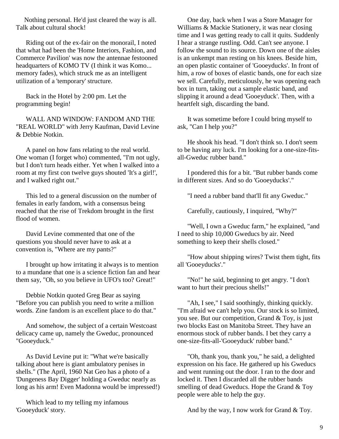Nothing personal. He'd just cleared the way is all. Talk about cultural shock!

 Riding out of the ex-fair on the monorail, I noted that what had been the 'Home Interiors, Fashion, and Commerce Pavilion' was now the antennae festooned headquarters of KOMO TV (I think it was Komo... memory fades), which struck me as an intelligent utilization of a 'temporary' structure.

 Back in the Hotel by 2:00 pm. Let the programming begin!

 WALL AND WINDOW: FANDOM AND THE "REAL WORLD" with Jerry Kaufman, David Levine & Debbie Notkin.

 A panel on how fans relating to the real world. One woman (I forget who) commented, "I'm not ugly, but I don't turn heads either. Yet when I walked into a room at my first con twelve guys shouted 'It's a girl!', and I walked right out."

 This led to a general discussion on the number of females in early fandom, with a consensus being reached that the rise of Trekdom brought in the first flood of women.

 David Levine commented that one of the questions you should never have to ask at a convention is, "Where are my pants?"

 I brought up how irritating it always is to mention to a mundane that one is a science fiction fan and hear them say, "Oh, so you believe in UFO's too? Great!"

 Debbie Notkin quoted Greg Bear as saying "Before you can publish you need to write a million words. Zine fandom is an excellent place to do that."

 And somehow, the subject of a certain Westcoast delicacy came up, namely the Gweduc, pronounced "Gooeyduck."

 As David Levine put it: "What we're basically talking about here is giant ambulatory penises in shells." (The April, 1960 Nat Geo has a photo of a 'Dungeness Bay Digger' holding a Gweduc nearly as long as his arm! Even Madonna would be impressed!)

 Which lead to my telling my infamous 'Gooeyduck' story.

 One day, back when I was a Store Manager for Williams & Mackie Stationery, it was near closing time and I was getting ready to call it quits. Suddenly I hear a strange rustling. Odd. Can't see anyone. I follow the sound to its source. Down one of the aisles is an unkempt man resting on his knees. Beside him, an open plastic container of 'Gooeyducks'. In front of him, a row of boxes of elastic bands, one for each size we sell. Carefully, meticulously, he was opening each box in turn, taking out a sample elastic band, and slipping it around a dead 'Gooeyduck'. Then, with a heartfelt sigh, discarding the band.

 It was sometime before I could bring myself to ask, "Can I help you?"

 He shook his head. "I don't think so. I don't seem to be having any luck. I'm looking for a one-size-fitsall-Gweduc rubber band."

 I pondered this for a bit. "But rubber bands come in different sizes. And so do 'Gooeyducks'."

"I need a rubber band that'll fit any Gweduc."

Carefully, cautiously, I inquired, "Why?"

 "Well, I own a Gweduc farm," he explained, "and I need to ship 10,000 Gweducs by air. Need something to keep their shells closed."

 "How about shipping wires? Twist them tight, fits all 'Gooeyducks'."

 "No!" he said, beginning to get angry. "I don't want to hurt their precious shells!"

 "Ah, I see," I said soothingly, thinking quickly. "I'm afraid we can't help you. Our stock is so limited, you see. But our competition, Grand & Toy, is just two blocks East on Manitoba Street. They have an enormous stock of rubber bands. I bet they carry a one-size-fits-all-'Gooeyduck' rubber band."

 "Oh, thank you, thank you," he said, a delighted expression on his face. He gathered up his Gweducs and went running out the door. I ran to the door and locked it. Then I discarded all the rubber bands smelling of dead Gweducs. Hope the Grand & Toy people were able to help the guy.

And by the way, I now work for Grand & Toy.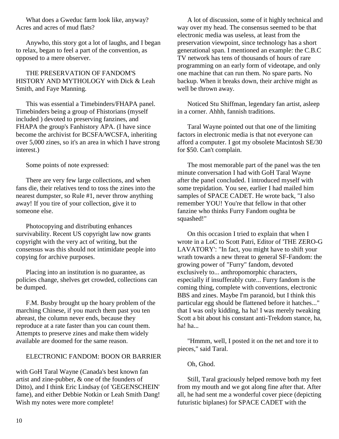What does a Gweduc farm look like, anyway? Acres and acres of mud flats?

 Anywho, this story got a lot of laughs, and I began to relax, began to feel a part of the convention, as opposed to a mere observer.

 THE PRESERVATION OF FANDOM'S HISTORY AND MYTHOLOGY with Dick & Leah Smith, and Faye Manning.

 This was essential a Timebinders/FHAPA panel. Timebinders being a group of Fhistorians (myself included ) devoted to preserving fanzines, and FHAPA the group's Fanhistory APA. (I have since become the archivist for BCSFA/WCSFA, inheriting over 5,000 zines, so it's an area in which I have strong interest.)

Some points of note expressed:

 There are very few large collections, and when fans die, their relatives tend to toss the zines into the nearest dumpster, so Rule #1, never throw anything away! If you tire of your collection, give it to someone else.

 Photocopying and distributing enhances survivability. Recent US copyright law now grants copyright with the very act of writing, but the consensus was this should not intimidate people into copying for archive purposes.

 Placing into an institution is no guarantee, as policies change, shelves get crowded, collections can be dumped.

 F.M. Busby brought up the hoary problem of the marching Chinese, if you march them past you ten abreast, the column never ends, because they reproduce at a rate faster than you can count them. Attempts to preserve zines and make them widely available are doomed for the same reason.

## ELECTRONIC FANDOM: BOON OR BARRIER

with GoH Taral Wayne (Canada's best known fan artist and zine-pubber, & one of the founders of Ditto), and I think Eric Lindsay (of 'GEGENSCHEIN' fame), and either Debbie Notkin or Leah Smith Dang! Wish my notes were more complete!

 A lot of discussion, some of it highly technical and way over my head. The consensus seemed to be that electronic media was useless, at least from the preservation viewpoint, since technology has a short generational span. I mentioned an example: the C.B.C TV network has tens of thousands of hours of rare programming on an early form of videotape, and only one machine that can run them. No spare parts. No backup. When it breaks down, their archive might as well be thrown away.

 Noticed Stu Shiffman, legendary fan artist, asleep in a corner. Ahhh, fannish traditions.

 Taral Wayne pointed out that one of the limiting factors in electronic media is that not everyone can afford a computer. I got my obsolete Macintosh SE/30 for \$50. Can't complain.

 The most memorable part of the panel was the ten minute conversation I had with GoH Taral Wayne after the panel concluded. I introduced myself with some trepidation. You see, earlier I had mailed him samples of SPACE CADET. He wrote back, "I also remember YOU! You're that fellow in that other fanzine who thinks Furry Fandom oughta be squashed!"

 On this occasion I tried to explain that when I wrote in a LoC to Scott Patri, Editor of 'THE ZERO-G LAVATORY': "In fact, you might have to shift your wrath towards a new threat to general SF-Fandom: the growing power of "Furry" fandom, devoted exclusively to... anthropomorphic characters, especially if insufferably cute... Furry fandom is the coming thing, complete with conventions, electronic BBS and zines. Maybe I'm paranoid, but I think this particular egg should be flattened before it hatches..." that I was only kidding, ha ha! I was merely tweaking Scott a bit about his constant anti-Trekdom stance, ha, ha! ha...

 "Hmmm, well, I posted it on the net and tore it to pieces," said Taral.

Oh, Ghod.

 Still, Taral graciously helped remove both my feet from my mouth and we got along fine after that. After all, he had sent me a wonderful cover piece (depicting futuristic biplanes) for SPACE CADET with the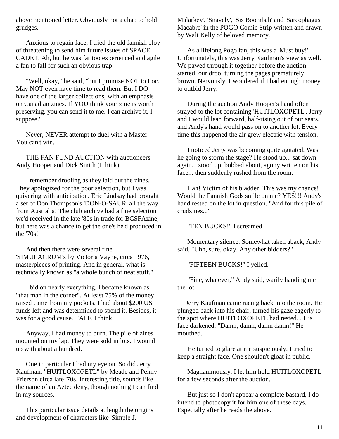above mentioned letter. Obviously not a chap to hold grudges.

 Anxious to regain face, I tried the old fannish ploy of threatening to send him future issues of SPACE CADET. Ah, but he was far too experienced and agile a fan to fall for such an obvious trap.

 "Well, okay," he said, "but I promise NOT to Loc. May NOT even have time to read them. But I DO have one of the larger collections, with an emphasis on Canadian zines. If YOU think your zine is worth preserving, you can send it to me. I can archive it, I suppose."

 Never, NEVER attempt to duel with a Master. You can't win.

 THE FAN FUND AUCTION with auctioneers Andy Hooper and Dick Smith (I think).

 I remember drooling as they laid out the zines. They apologized for the poor selection, but I was quivering with anticipation. Eric Lindsay had brought a set of Don Thompson's 'DON-O-SAUR' all the way from Australia! The club archive had a fine selection we'd received in the late '80s in trade for BCSFAzine, but here was a chance to get the one's he'd produced in the '70s!

 And then there were several fine 'SIMULACRUM's by Victoria Vayne, circa 1976, masterpieces of printing. And in general, what is technically known as "a whole bunch of neat stuff."

 I bid on nearly everything. I became known as "that man in the corner". At least 75% of the money raised came from my pockets. I had about \$200 US funds left and was determined to spend it. Besides, it was for a good cause. TAFF, I think.

 Anyway, I had money to burn. The pile of zines mounted on my lap. They were sold in lots. I wound up with about a hundred.

 One in particular I had my eye on. So did Jerry Kaufman. "HUITLOXOPETL" by Meade and Penny Frierson circa late '70s. Interesting title, sounds like the name of an Aztec deity, though nothing I can find in my sources.

 This particular issue details at length the origins and development of characters like 'Simple J.

Malarkey', 'Snavely', 'Sis Boombah' and 'Sarcophagus Macabre' in the POGO Comic Strip written and drawn by Walt Kelly of beloved memory.

 As a lifelong Pogo fan, this was a 'Must buy!' Unfortunately, this was Jerry Kaufman's view as well. We pawed through it together before the auction started, our drool turning the pages prematurely brown. Nervously, I wondered if I had enough money to outbid Jerry.

 During the auction Andy Hooper's hand often strayed to the lot containing 'HUITLOXOPETL', Jerry and I would lean forward, half-rising out of our seats, and Andy's hand would pass on to another lot. Every time this happened the air grew electric with tension.

 I noticed Jerry was becoming quite agitated. Was he going to storm the stage? He stood up... sat down again... stood up, bobbed about, agony written on his face... then suddenly rushed from the room.

 Hah! Victim of his bladder! This was my chance! Would the Fannish Gods smile on me? YES!!! Andy's hand rested on the lot in question. "And for this pile of crudzines..."

"TEN BUCKS!" I screamed.

 Momentary silence. Somewhat taken aback, Andy said, "Uhh, sure, okay. Any other bidders?"

"FIFTEEN BUCKS!" I yelled.

 "Fine, whatever," Andy said, warily handing me the lot.

 Jerry Kaufman came racing back into the room. He plunged back into his chair, turned his gaze eagerly to the spot where HUITLOXOPETL had rested... His face darkened. "Damn, damn, damn damn!" He mouthed.

 He turned to glare at me suspiciously. I tried to keep a straight face. One shouldn't gloat in public.

 Magnanimously, I let him hold HUITLOXOPETL for a few seconds after the auction.

 But just so I don't appear a complete bastard, I do intend to photocopy it for him one of these days. Especially after he reads the above.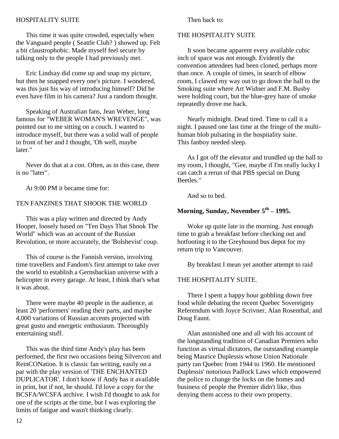## HOSPITALITY SUITE

 This time it was quite crowded, especially when the Vanguard people ( Seattle Club? ) showed up. Felt a bit claustrophobic. Made myself feel secure by talking only to the people I had previously met.

 Eric Lindsay did come up and snap my picture, but then he snapped every one's picture. I wondered, was this just his way of introducing himself? Did he even have film in his camera? Just a random thought.

 Speaking of Australian fans, Jean Weber, long famous for "WEBER WOMAN'S WREVENGE", was pointed out to me sitting on a couch. I wanted to introduce myself, but there was a solid wall of people in front of her and I thought, 'Oh well, maybe later."

 Never do that at a con. Often, as in this case, there is no "later".

At 9:00 PM it became time for:

## TEN FANZINES THAT SHOOK THE WORLD

 This was a play written and directed by Andy Hooper, loosely based on "Ten Days That Shook The World" which was an account of the Russian Revolution, or more accurately, the 'Bolshevist' coup.

 This of course is the Fannish version, involving time travellers and Fandom's first attempt to take over the world to establish a Gernsbackian universe with a helicopter in every garage. At least, I think that's what it was about.

 There were maybe 40 people in the audience, at least 20 'performers' reading their parts, and maybe 4,000 variations of Russian accents projected with great gusto and energetic enthusiasm. Thoroughly entertaining stuff.

 This was the third time Andy's play has been performed, the first two occasions being Silvercon and ReinCONation. It is classic fan writing, easily on a par with the play version of 'THE ENCHANTED DUPLICATOR'. I don't know if Andy has it available in print, but if not, he should. I'd love a copy for the BCSFA/WCSFA archive. I wish I'd thought to ask for one of the scripts at the time, but I was exploring the limits of fatigue and wasn't thinking clearly.

Then back to:

## THE HOSPITALITY SUITE

 It soon became apparent every available cubic inch of space was not enough. Evidently the convention attendees had been cloned, perhaps more than once. A couple of times, in search of elbow room, I clawed my way out to go down the hall to the Smoking suite where Art Widner and F.M. Busby were holding court, but the blue-grey haze of smoke repeatedly drove me back.

 Nearly midnight. Dead tired. Time to call it a night. I paused one last time at the fringe of the multihuman blob pulsating in the hospitality suite. This fanboy needed sleep.

 As I got off the elevator and trundled up the hall to my room, I thought, "Gee, maybe if I'm really lucky I can catch a rerun of that PBS special on Dung Beetles."

And so to bed.

## **Morning, Sunday, November 5th – 1995.**

 Woke up quite late in the morning. Just enough time to grab a breakfast before checking out and hotfooting it to the Greyhound bus depot for my return trip to Vancouver.

By breakfast I mean yet another attempt to raid

## THE HOSPITALITY SUITE.

 There I spent a happy hour gobbling down free food while debating the recent Quebec Sovereignty Referendum with Joyce Scrivner, Alan Rosenthal, and Doug Faunt.

 Alan astonished one and all with his account of the longstanding tradition of Canadian Premiers who function as virtual dictators, the outstanding example being Maurice Duplessis whose Union Nationale party ran Quebec from 1944 to 1960. He mentioned Duplessis' notorious Padlock Laws which empowered the police to change the locks on the homes and business of people the Premier didn't like, thus denying them access to their own property.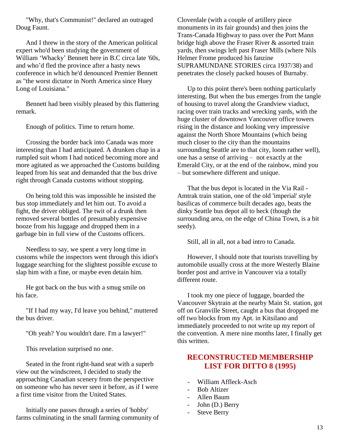"Why, that's Communist!" declared an outraged Doug Faunt.

 And I threw in the story of the American political expert who'd been studying the government of William 'Whacky' Bennett here in B.C circa late '60s, and who'd fled the province after a hasty news conference in which he'd denounced Premier Bennett as "the worst dictator in North America since Huey Long of Louisiana."

 Bennett had been visibly pleased by this flattering remark.

Enough of politics. Time to return home.

 Crossing the border back into Canada was more interesting than I had anticipated. A drunken chap in a rumpled suit whom I had noticed becoming more and more agitated as we approached the Customs building leaped from his seat and demanded that the bus drive right through Canada customs without stopping.

 On being told this was impossible he insisted the bus stop immediately and let him out. To avoid a fight, the driver obliged. The twit of a drunk then removed several bottles of presumably expensive booze from his luggage and dropped them in a garbage bin in full view of the Customs officers.

 Needless to say, we spent a very long time in customs while the inspectors went through this idiot's luggage searching for the slightest possible excuse to slap him with a fine, or maybe even detain him.

 He got back on the bus with a smug smile on his face.

 "If I had my way, I'd leave you behind," muttered the bus driver.

"Oh yeah? You wouldn't dare. I'm a lawyer!"

This revelation surprised no one.

 Seated in the front right-hand seat with a superb view out the windscreen, I decided to study the approaching Canadian scenery from the perspective on someone who has never seen it before, as if I were a first time visitor from the United States.

 Initially one passes through a series of 'hobby' farms culminating in the small farming community of Cloverdale (with a couple of artillery piece monuments in its fair grounds) and then joins the Trans-Canada Highway to pass over the Port Mann bridge high above the Fraser River & assorted train yards, then swings left past Fraser Mills (where Nils Helmer Frome produced his fanzine SUPRAMUNDANE STORIES circa 1937/38) and penetrates the closely packed houses of Burnaby.

 Up to this point there's been nothing particularly interesting. But when the bus emerges from the tangle of housing to travel along the Grandview viaduct, racing over train tracks and wrecking yards, with the huge cluster of downtown Vancouver office towers rising in the distance and looking very impressive against the North Shore Mountains (which being much closer to the city than the mountains surrounding Seattle are to that city, loom rather well), one has a sense of arriving – not exactly at the Emerald City, or at the end of the rainbow, mind you – but somewhere different and unique.

 That the bus depot is located in the Via Rail - Amtrak train station, one of the old 'imperial' style basilicas of commerce built decades ago, beats the dinky Seattle bus depot all to heck (though the surrounding area, on the edge of China Town, is a bit seedy).

Still, all in all, not a bad intro to Canada.

 However, I should note that tourists travelling by automobile usually cross at the more Westerly Blaine border post and arrive in Vancouver via a totally different route.

 I took my one piece of luggage, boarded the Vancouver Skytrain at the nearby Main St. station, got off on Granville Street, caught a bus that dropped me off two blocks from my Apt. in Kitsilano and immediately proceeded to not write up my report of the convention. A mere nine months later, I finally get this written.

# **RECONSTRUCTED MEMBERSHIP LIST FOR DITTO 8 (1995)**

- William Affleck-Asch
- Bob Altizer
- Allen Baum
- John (D.) Berry
- Steve Berry